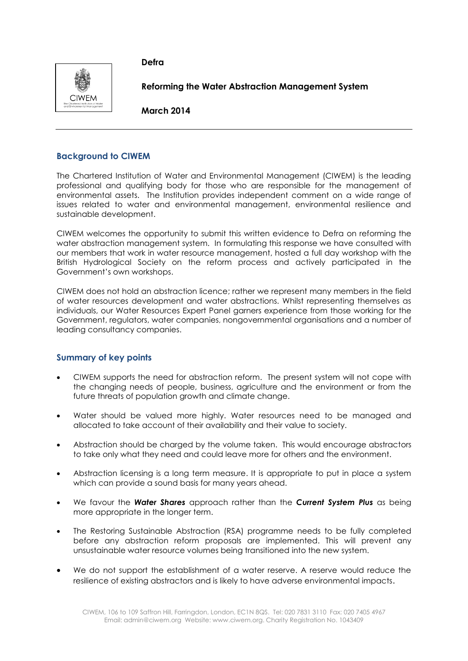**Defra**



**Reforming the Water Abstraction Management System**

**March 2014**

# **Background to CIWEM**

The Chartered Institution of Water and Environmental Management (CIWEM) is the leading professional and qualifying body for those who are responsible for the management of environmental assets. The Institution provides independent comment on a wide range of issues related to water and environmental management, environmental resilience and sustainable development.

CIWEM welcomes the opportunity to submit this written evidence to Defra on reforming the water abstraction management system. In formulating this response we have consulted with our members that work in water resource management, hosted a full day workshop with the British Hydrological Society on the reform process and actively participated in the Government's own workshops.

CIWEM does not hold an abstraction licence; rather we represent many members in the field of water resources development and water abstractions. Whilst representing themselves as individuals, our Water Resources Expert Panel garners experience from those working for the Government, regulators, water companies, nongovernmental organisations and a number of leading consultancy companies.

# **Summary of key points**

- CIWEM supports the need for abstraction reform. The present system will not cope with the changing needs of people, business, agriculture and the environment or from the future threats of population growth and climate change.
- Water should be valued more highly. Water resources need to be managed and allocated to take account of their availability and their value to society.
- Abstraction should be charged by the volume taken. This would encourage abstractors to take only what they need and could leave more for others and the environment.
- Abstraction licensing is a long term measure. It is appropriate to put in place a system which can provide a sound basis for many years ahead.
- We favour the *Water Shares* approach rather than the *Current System Plus* as being more appropriate in the longer term.
- The Restoring Sustainable Abstraction (RSA) programme needs to be fully completed before any abstraction reform proposals are implemented. This will prevent any unsustainable water resource volumes being transitioned into the new system.
- We do not support the establishment of a water reserve. A reserve would reduce the resilience of existing abstractors and is likely to have adverse environmental impacts.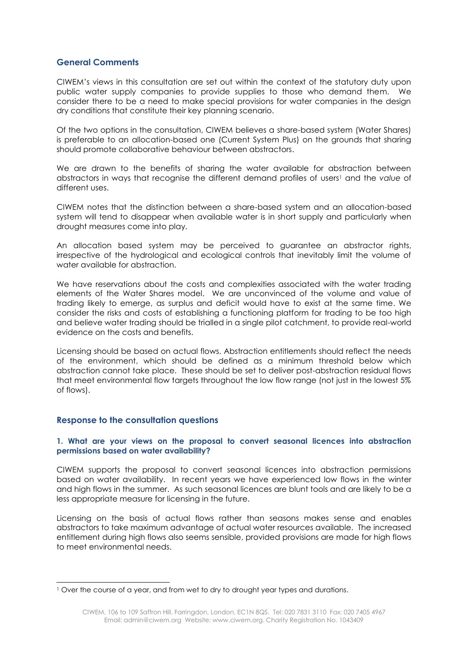# **General Comments**

CIWEM's views in this consultation are set out within the context of the statutory duty upon public water supply companies to provide supplies to those who demand them. We consider there to be a need to make special provisions for water companies in the design dry conditions that constitute their key planning scenario.

Of the two options in the consultation, CIWEM believes a share-based system (Water Shares) is preferable to an allocation-based one (Current System Plus) on the grounds that sharing should promote collaborative behaviour between abstractors.

We are drawn to the benefits of sharing the water available for abstraction between abstractors in ways that recognise the different demand profiles of users<sup>1</sup> and the value of different uses.

CIWEM notes that the distinction between a share-based system and an allocation-based system will tend to disappear when available water is in short supply and particularly when drought measures come into play.

An allocation based system may be perceived to guarantee an abstractor rights, irrespective of the hydrological and ecological controls that inevitably limit the volume of water available for abstraction.

We have reservations about the costs and complexities associated with the water trading elements of the Water Shares model. We are unconvinced of the volume and value of trading likely to emerge, as surplus and deficit would have to exist at the same time. We consider the risks and costs of establishing a functioning platform for trading to be too high and believe water trading should be trialled in a single pilot catchment, to provide real-world evidence on the costs and benefits.

Licensing should be based on actual flows. Abstraction entitlements should reflect the needs of the environment, which should be defined as a minimum threshold below which abstraction cannot take place. These should be set to deliver post-abstraction residual flows that meet environmental flow targets throughout the low flow range (not just in the lowest 5% of flows).

# **Response to the consultation questions**

-

#### **1. What are your views on the proposal to convert seasonal licences into abstraction permissions based on water availability?**

CIWEM supports the proposal to convert seasonal licences into abstraction permissions based on water availability. In recent years we have experienced low flows in the winter and high flows in the summer. As such seasonal licences are blunt tools and are likely to be a less appropriate measure for licensing in the future.

Licensing on the basis of actual flows rather than seasons makes sense and enables abstractors to take maximum advantage of actual water resources available. The increased entitlement during high flows also seems sensible, provided provisions are made for high flows to meet environmental needs.

<sup>&</sup>lt;sup>1</sup> Over the course of a year, and from wet to dry to drought year types and durations.

CIWEM, 106 to 109 Saffron Hill, Farringdon, London, EC1N 8QS. Tel: 020 7831 3110 Fax: 020 7405 4967 Email: admin@ciwem.org Website: www.ciwem.org. Charity Registration No. 1043409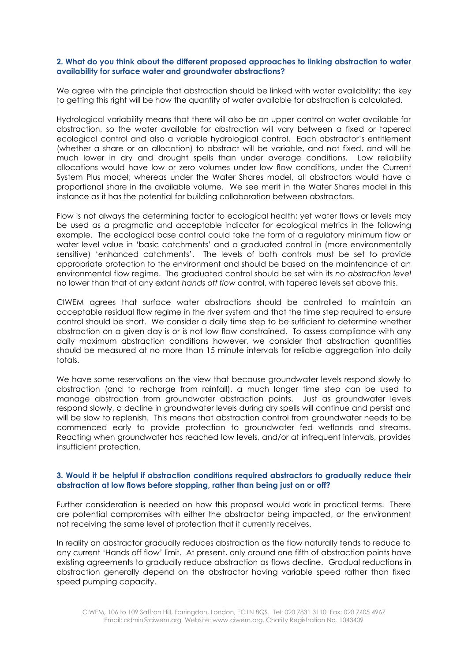#### **2. What do you think about the different proposed approaches to linking abstraction to water availability for surface water and groundwater abstractions?**

We agree with the principle that abstraction should be linked with water availability; the key to getting this right will be how the quantity of water available for abstraction is calculated.

Hydrological variability means that there will also be an upper control on water available for abstraction, so the water available for abstraction will vary between a fixed or tapered ecological control and also a variable hydrological control. Each abstractor's entitlement (whether a share or an allocation) to abstract will be variable, and not fixed, and will be much lower in dry and drought spells than under average conditions. Low reliability allocations would have low or zero volumes under low flow conditions, under the Current System Plus model; whereas under the Water Shares model, all abstractors would have a proportional share in the available volume. We see merit in the Water Shares model in this instance as it has the potential for building collaboration between abstractors.

Flow is not always the determining factor to ecological health; yet water flows or levels may be used as a pragmatic and acceptable indicator for ecological metrics in the following example. The ecological base control could take the form of a regulatory minimum flow or water level value in 'basic catchments' and a graduated control in (more environmentally sensitive) 'enhanced catchments'. The levels of both controls must be set to provide appropriate protection to the environment and should be based on the maintenance of an environmental flow regime. The graduated control should be set with its *no abstraction level* no lower than that of any extant *hands off flow* control, with tapered levels set above this.

CIWEM agrees that surface water abstractions should be controlled to maintain an acceptable residual flow regime in the river system and that the time step required to ensure control should be short. We consider a daily time step to be sufficient to determine whether abstraction on a given day is or is not low flow constrained. To assess compliance with any daily maximum abstraction conditions however, we consider that abstraction quantities should be measured at no more than 15 minute intervals for reliable aggregation into daily totals.

We have some reservations on the view that because groundwater levels respond slowly to abstraction (and to recharge from rainfall), a much longer time step can be used to manage abstraction from groundwater abstraction points. Just as groundwater levels respond slowly, a decline in groundwater levels during dry spells will continue and persist and will be slow to replenish. This means that abstraction control from groundwater needs to be commenced early to provide protection to groundwater fed wetlands and streams. Reacting when groundwater has reached low levels, and/or at infrequent intervals, provides insufficient protection.

#### **3. Would it be helpful if abstraction conditions required abstractors to gradually reduce their abstraction at low flows before stopping, rather than being just on or off?**

Further consideration is needed on how this proposal would work in practical terms. There are potential compromises with either the abstractor being impacted, or the environment not receiving the same level of protection that it currently receives.

In reality an abstractor gradually reduces abstraction as the flow naturally tends to reduce to any current 'Hands off flow' limit. At present, only around one fifth of abstraction points have existing agreements to gradually reduce abstraction as flows decline. Gradual reductions in abstraction generally depend on the abstractor having variable speed rather than fixed speed pumping capacity.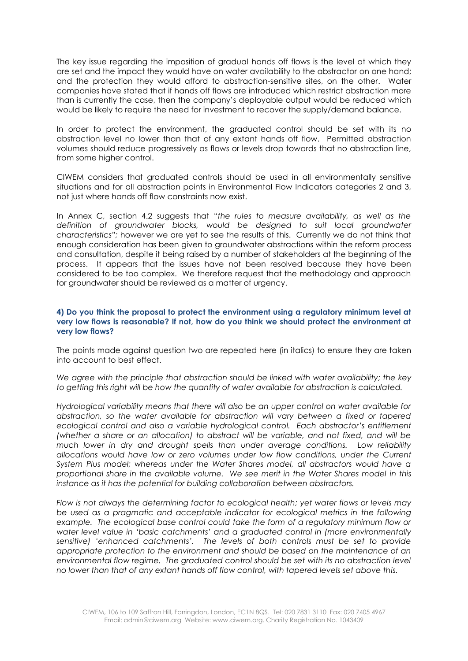The key issue regarding the imposition of gradual hands off flows is the level at which they are set and the impact they would have on water availability to the abstractor on one hand; and the protection they would afford to abstraction-sensitive sites, on the other. Water companies have stated that if hands off flows are introduced which restrict abstraction more than is currently the case, then the company's deployable output would be reduced which would be likely to require the need for investment to recover the supply/demand balance.

In order to protect the environment, the graduated control should be set with its no abstraction level no lower than that of any extant hands off flow. Permitted abstraction volumes should reduce progressively as flows or levels drop towards that no abstraction line, from some higher control.

CIWEM considers that graduated controls should be used in all environmentally sensitive situations and for all abstraction points in Environmental Flow Indicators categories 2 and 3, not just where hands off flow constraints now exist.

In Annex C, section 4.2 suggests that "*the rules to measure availability, as well as the definition of groundwater blocks, would be designed to suit local groundwater characteristics";* however we are yet to see the results of this. Currently we do not think that enough consideration has been given to groundwater abstractions within the reform process and consultation, despite it being raised by a number of stakeholders at the beginning of the process. It appears that the issues have not been resolved because they have been considered to be too complex. We therefore request that the methodology and approach for groundwater should be reviewed as a matter of urgency.

# **4) Do you think the proposal to protect the environment using a regulatory minimum level at very low flows is reasonable? If not, how do you think we should protect the environment at very low flows?**

The points made against question two are repeated here (in italics) to ensure they are taken into account to best effect.

*We agree with the principle that abstraction should be linked with water availability; the key to getting this right will be how the quantity of water available for abstraction is calculated.* 

*Hydrological variability means that there will also be an upper control on water available for abstraction, so the water available for abstraction will vary between a fixed or tapered ecological control and also a variable hydrological control. Each abstractor's entitlement (whether a share or an allocation) to abstract will be variable, and not fixed, and will be much lower in dry and drought spells than under average conditions. Low reliability allocations would have low or zero volumes under low flow conditions, under the Current System Plus model; whereas under the Water Shares model, all abstractors would have a proportional share in the available volume. We see merit in the Water Shares model in this instance as it has the potential for building collaboration between abstractors.*

*Flow is not always the determining factor to ecological health; yet water flows or levels may be used as a pragmatic and acceptable indicator for ecological metrics in the following example. The ecological base control could take the form of a regulatory minimum flow or water level value in 'basic catchments' and a graduated control in (more environmentally sensitive) 'enhanced catchments'. The levels of both controls must be set to provide appropriate protection to the environment and should be based on the maintenance of an*  environmental flow regime. The graduated control should be set with its no abstraction level *no lower than that of any extant hands off flow control, with tapered levels set above this.*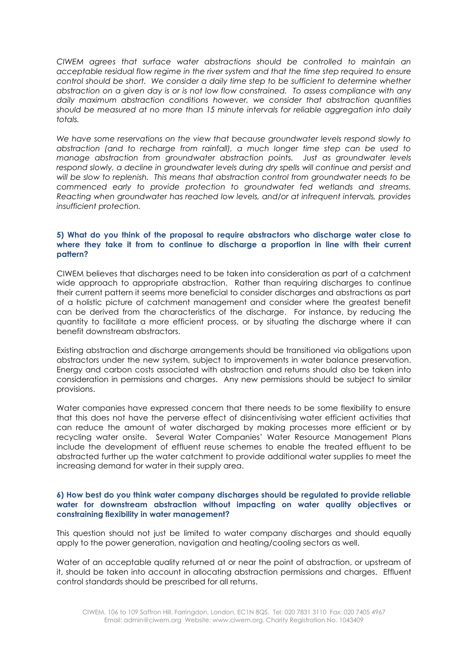*CIWEM agrees that surface water abstractions should be controlled to maintain an acceptable residual flow regime in the river system and that the time step required to ensure control should be short. We consider a daily time step to be sufficient to determine whether abstraction on a given day is or is not low flow constrained. To assess compliance with any daily maximum abstraction conditions however, we consider that abstraction quantities should be measured at no more than 15 minute intervals for reliable aggregation into daily totals.*

*We have some reservations on the view that because groundwater levels respond slowly to abstraction (and to recharge from rainfall), a much longer time step can be used to manage abstraction from groundwater abstraction points. Just as groundwater levels*  respond slowly, a decline in groundwater levels during dry spells will continue and persist and *will be slow to replenish. This means that abstraction control from groundwater needs to be commenced early to provide protection to groundwater fed wetlands and streams. Reacting when groundwater has reached low levels, and/or at infrequent intervals, provides insufficient protection.* 

# **5) What do you think of the proposal to require abstractors who discharge water close to where they take it from to continue to discharge a proportion in line with their current pattern?**

CIWEM believes that discharges need to be taken into consideration as part of a catchment wide approach to appropriate abstraction. Rather than requiring discharges to continue their current pattern it seems more beneficial to consider discharges and abstractions as part of a holistic picture of catchment management and consider where the greatest benefit can be derived from the characteristics of the discharge. For instance, by reducing the quantity to facilitate a more efficient process, or by situating the discharge where it can benefit downstream abstractors.

Existing abstraction and discharge arrangements should be transitioned via obligations upon abstractors under the new system, subject to improvements in water balance preservation. Energy and carbon costs associated with abstraction and returns should also be taken into consideration in permissions and charges. Any new permissions should be subject to similar provisions.

Water companies have expressed concern that there needs to be some flexibility to ensure that this does not have the perverse effect of disincentivising water efficient activities that can reduce the amount of water discharged by making processes more efficient or by recycling water onsite. Several Water Companies' Water Resource Management Plans include the development of effluent reuse schemes to enable the treated effluent to be abstracted further up the water catchment to provide additional water supplies to meet the increasing demand for water in their supply area.

#### **6) How best do you think water company discharges should be regulated to provide reliable water for downstream abstraction without impacting on water quality objectives or constraining flexibility in water management?**

This question should not just be limited to water company discharges and should equally apply to the power generation, navigation and heating/cooling sectors as well.

Water of an acceptable quality returned at or near the point of abstraction, or upstream of it, should be taken into account in allocating abstraction permissions and charges. Effluent control standards should be prescribed for all returns.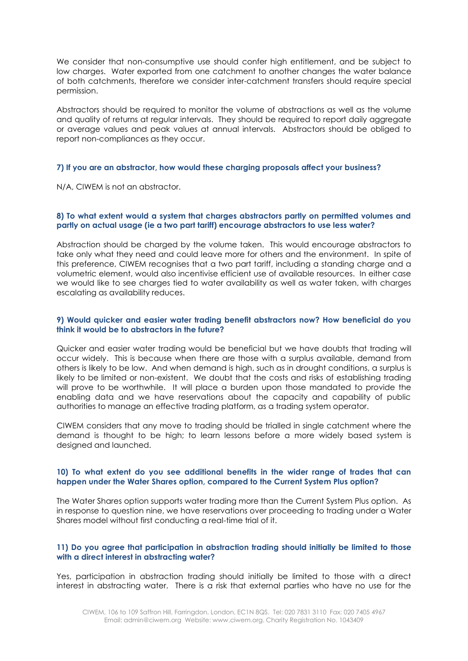We consider that non-consumptive use should confer high entitlement, and be subject to low charges. Water exported from one catchment to another changes the water balance of both catchments, therefore we consider inter-catchment transfers should require special permission.

Abstractors should be required to monitor the volume of abstractions as well as the volume and quality of returns at regular intervals. They should be required to report daily aggregate or average values and peak values at annual intervals. Abstractors should be obliged to report non-compliances as they occur.

#### **7) If you are an abstractor, how would these charging proposals affect your business?**

N/A, CIWEM is not an abstractor.

#### **8) To what extent would a system that charges abstractors partly on permitted volumes and partly on actual usage (ie a two part tariff) encourage abstractors to use less water?**

Abstraction should be charged by the volume taken. This would encourage abstractors to take only what they need and could leave more for others and the environment. In spite of this preference, CIWEM recognises that a two part tariff, including a standing charge and a volumetric element, would also incentivise efficient use of available resources. In either case we would like to see charges tied to water availability as well as water taken, with charges escalating as availability reduces.

# **9) Would quicker and easier water trading benefit abstractors now? How beneficial do you think it would be to abstractors in the future?**

Quicker and easier water trading would be beneficial but we have doubts that trading will occur widely. This is because when there are those with a surplus available, demand from others is likely to be low. And when demand is high, such as in drought conditions, a surplus is likely to be limited or non-existent. We doubt that the costs and risks of establishing trading will prove to be worthwhile. It will place a burden upon those mandated to provide the enabling data and we have reservations about the capacity and capability of public authorities to manage an effective trading platform, as a trading system operator.

CIWEM considers that any move to trading should be trialled in single catchment where the demand is thought to be high; to learn lessons before a more widely based system is designed and launched.

# **10) To what extent do you see additional benefits in the wider range of trades that can happen under the Water Shares option, compared to the Current System Plus option?**

The Water Shares option supports water trading more than the Current System Plus option. As in response to question nine, we have reservations over proceeding to trading under a Water Shares model without first conducting a real-time trial of it.

# **11) Do you agree that participation in abstraction trading should initially be limited to those with a direct interest in abstracting water?**

Yes, participation in abstraction trading should initially be limited to those with a direct interest in abstracting water. There is a risk that external parties who have no use for the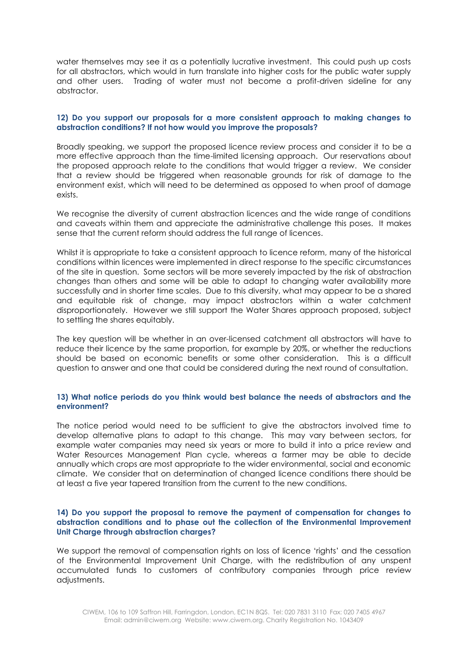water themselves may see it as a potentially lucrative investment. This could push up costs for all abstractors, which would in turn translate into higher costs for the public water supply and other users. Trading of water must not become a profit-driven sideline for any abstractor.

#### **12) Do you support our proposals for a more consistent approach to making changes to abstraction conditions? If not how would you improve the proposals?**

Broadly speaking, we support the proposed licence review process and consider it to be a more effective approach than the time-limited licensing approach. Our reservations about the proposed approach relate to the conditions that would trigger a review. We consider that a review should be triggered when reasonable grounds for risk of damage to the environment exist, which will need to be determined as opposed to when proof of damage exists.

We recognise the diversity of current abstraction licences and the wide range of conditions and caveats within them and appreciate the administrative challenge this poses. It makes sense that the current reform should address the full range of licences.

Whilst it is appropriate to take a consistent approach to licence reform, many of the historical conditions within licences were implemented in direct response to the specific circumstances of the site in question. Some sectors will be more severely impacted by the risk of abstraction changes than others and some will be able to adapt to changing water availability more successfully and in shorter time scales. Due to this diversity, what may appear to be a shared and equitable risk of change, may impact abstractors within a water catchment disproportionately. However we still support the Water Shares approach proposed, subject to settling the shares equitably.

The key question will be whether in an over-licensed catchment all abstractors will have to reduce their licence by the same proportion, for example by 20%, or whether the reductions should be based on economic benefits or some other consideration. This is a difficult question to answer and one that could be considered during the next round of consultation.

#### **13) What notice periods do you think would best balance the needs of abstractors and the environment?**

The notice period would need to be sufficient to give the abstractors involved time to develop alternative plans to adapt to this change. This may vary between sectors, for example water companies may need six years or more to build it into a price review and Water Resources Management Plan cycle, whereas a farmer may be able to decide annually which crops are most appropriate to the wider environmental, social and economic climate. We consider that on determination of changed licence conditions there should be at least a five year tapered transition from the current to the new conditions.

# **14) Do you support the proposal to remove the payment of compensation for changes to abstraction conditions and to phase out the collection of the Environmental Improvement Unit Charge through abstraction charges?**

We support the removal of compensation rights on loss of licence 'rights' and the cessation of the Environmental Improvement Unit Charge, with the redistribution of any unspent accumulated funds to customers of contributory companies through price review adjustments.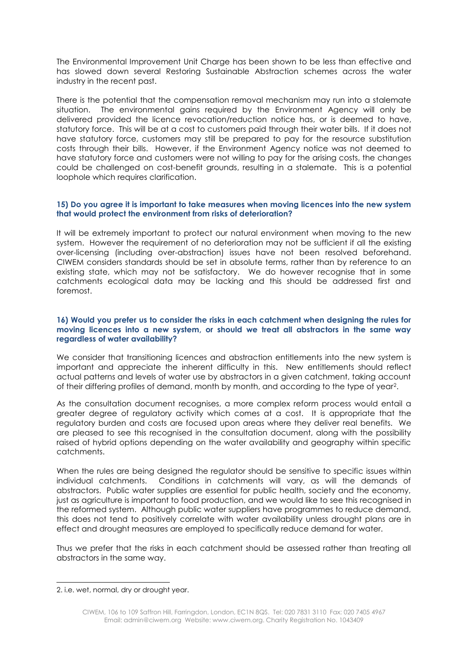The Environmental Improvement Unit Charge has been shown to be less than effective and has slowed down several Restoring Sustainable Abstraction schemes across the water industry in the recent past.

There is the potential that the compensation removal mechanism may run into a stalemate situation. The environmental gains required by the Environment Agency will only be delivered provided the licence revocation/reduction notice has, or is deemed to have, statutory force. This will be at a cost to customers paid through their water bills. If it does not have statutory force, customers may still be prepared to pay for the resource substitution costs through their bills. However, if the Environment Agency notice was not deemed to have statutory force and customers were not willing to pay for the arising costs, the changes could be challenged on cost-benefit grounds, resulting in a stalemate. This is a potential loophole which requires clarification.

#### **15) Do you agree it is important to take measures when moving licences into the new system that would protect the environment from risks of deterioration?**

It will be extremely important to protect our natural environment when moving to the new system. However the requirement of no deterioration may not be sufficient if all the existing over-licensing (including over-abstraction) issues have not been resolved beforehand. CIWEM considers standards should be set in absolute terms, rather than by reference to an existing state, which may not be satisfactory. We do however recognise that in some catchments ecological data may be lacking and this should be addressed first and foremost.

# **16) Would you prefer us to consider the risks in each catchment when designing the rules for moving licences into a new system, or should we treat all abstractors in the same way regardless of water availability?**

We consider that transitioning licences and abstraction entitlements into the new system is important and appreciate the inherent difficulty in this. New entitlements should reflect actual patterns and levels of water use by abstractors in a given catchment, taking account of their differing profiles of demand, month by month, and according to the type of year2.

As the consultation document recognises, a more complex reform process would entail a greater degree of regulatory activity which comes at a cost. It is appropriate that the regulatory burden and costs are focused upon areas where they deliver real benefits. We are pleased to see this recognised in the consultation document, along with the possibility raised of hybrid options depending on the water availability and geography within specific catchments.

When the rules are being designed the regulator should be sensitive to specific issues within individual catchments. Conditions in catchments will vary, as will the demands of abstractors. Public water supplies are essential for public health, society and the economy, just as agriculture is important to food production, and we would like to see this recognised in the reformed system. Although public water suppliers have programmes to reduce demand, this does not tend to positively correlate with water availability unless drought plans are in effect and drought measures are employed to specifically reduce demand for water.

Thus we prefer that the risks in each catchment should be assessed rather than treating all abstractors in the same way.

-

<sup>2.</sup> i.e. wet, normal, dry or drought year.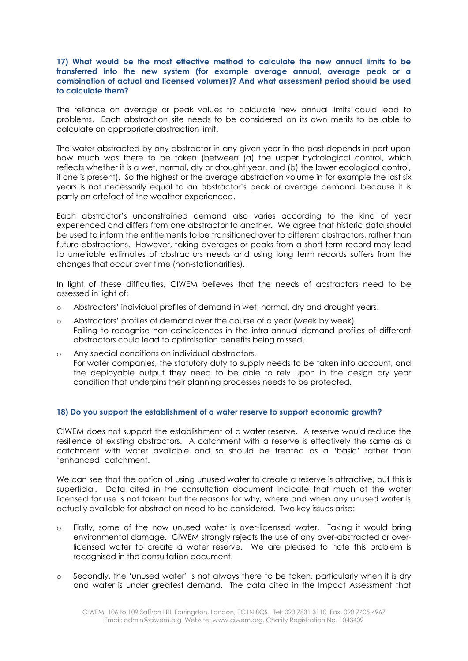# **17) What would be the most effective method to calculate the new annual limits to be transferred into the new system (for example average annual, average peak or a combination of actual and licensed volumes)? And what assessment period should be used to calculate them?**

The reliance on average or peak values to calculate new annual limits could lead to problems. Each abstraction site needs to be considered on its own merits to be able to calculate an appropriate abstraction limit.

The water abstracted by any abstractor in any given year in the past depends in part upon how much was there to be taken (between (a) the upper hydrological control, which reflects whether it is a wet, normal, dry or drought year, and (b) the lower ecological control, if one is present). So the highest or the average abstraction volume in for example the last six years is not necessarily equal to an abstractor's peak or average demand, because it is partly an artefact of the weather experienced.

Each abstractor's unconstrained demand also varies according to the kind of year experienced and differs from one abstractor to another. We agree that historic data should be used to inform the entitlements to be transitioned over to different abstractors, rather than future abstractions. However, taking averages or peaks from a short term record may lead to unreliable estimates of abstractors needs and using long term records suffers from the changes that occur over time (non-stationarities).

In light of these difficulties, CIWEM believes that the needs of abstractors need to be assessed in light of:

- o Abstractors' individual profiles of demand in wet, normal, dry and drought years.
- o Abstractors' profiles of demand over the course of a year (week by week). Failing to recognise non-coincidences in the intra-annual demand profiles of different abstractors could lead to optimisation benefits being missed.
- o Any special conditions on individual abstractors. For water companies, the statutory duty to supply needs to be taken into account, and the deployable output they need to be able to rely upon in the design dry year condition that underpins their planning processes needs to be protected.

# **18) Do you support the establishment of a water reserve to support economic growth?**

CIWEM does not support the establishment of a water reserve. A reserve would reduce the resilience of existing abstractors. A catchment with a reserve is effectively the same as a catchment with water available and so should be treated as a 'basic' rather than 'enhanced' catchment.

We can see that the option of using unused water to create a reserve is attractive, but this is superficial. Data cited in the consultation document indicate that much of the water licensed for use is not taken; but the reasons for why, where and when any unused water is actually available for abstraction need to be considered. Two key issues arise:

- o Firstly, some of the now unused water is over-licensed water. Taking it would bring environmental damage. CIWEM strongly rejects the use of any over-abstracted or overlicensed water to create a water reserve. We are pleased to note this problem is recognised in the consultation document.
- o Secondly, the 'unused water' is not always there to be taken, particularly when it is dry and water is under greatest demand. The data cited in the Impact Assessment that